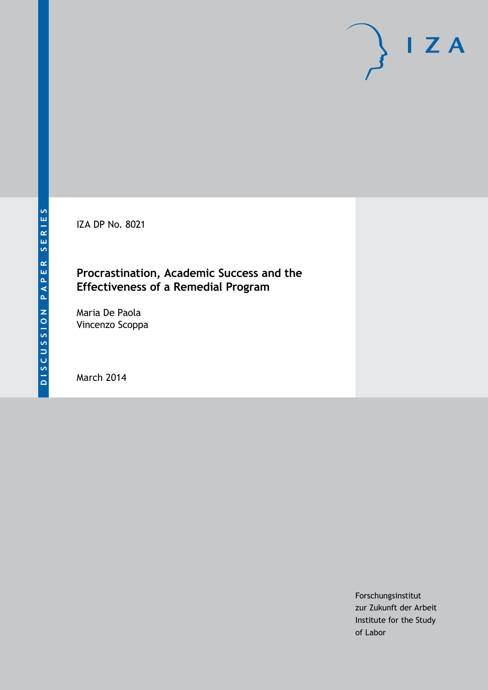IZA DP No. 8021

## **Procrastination, Academic Success and the Effectiveness of a Remedial Program**

Maria De Paola Vincenzo Scoppa

March 2014

Forschungsinstitut zur Zukunft der Arbeit Institute for the Study of Labor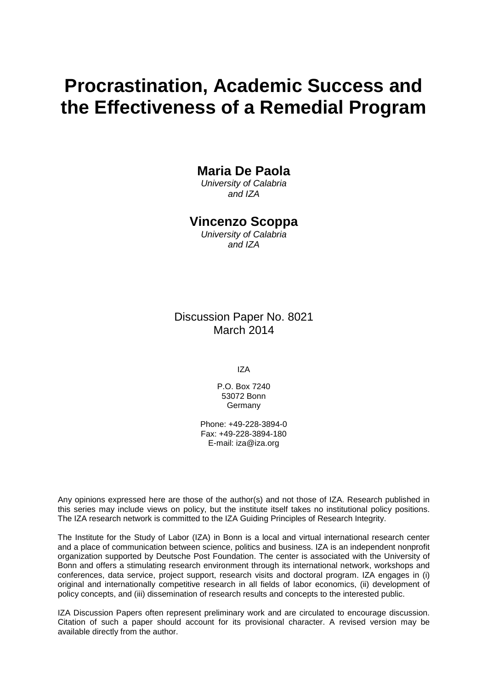# **Procrastination, Academic Success and the Effectiveness of a Remedial Program**

## **Maria De Paola**

*University of Calabria and IZA*

### **Vincenzo Scoppa**

*University of Calabria and IZA*

Discussion Paper No. 8021 March 2014

IZA

P.O. Box 7240 53072 Bonn Germany

Phone: +49-228-3894-0 Fax: +49-228-3894-180 E-mail: [iza@iza.org](mailto:iza@iza.org)

Any opinions expressed here are those of the author(s) and not those of IZA. Research published in this series may include views on policy, but the institute itself takes no institutional policy positions. The IZA research network is committed to the IZA Guiding Principles of Research Integrity.

The Institute for the Study of Labor (IZA) in Bonn is a local and virtual international research center and a place of communication between science, politics and business. IZA is an independent nonprofit organization supported by Deutsche Post Foundation. The center is associated with the University of Bonn and offers a stimulating research environment through its international network, workshops and conferences, data service, project support, research visits and doctoral program. IZA engages in (i) original and internationally competitive research in all fields of labor economics, (ii) development of policy concepts, and (iii) dissemination of research results and concepts to the interested public.

<span id="page-1-0"></span>IZA Discussion Papers often represent preliminary work and are circulated to encourage discussion. Citation of such a paper should account for its provisional character. A revised version may be available directly from the author.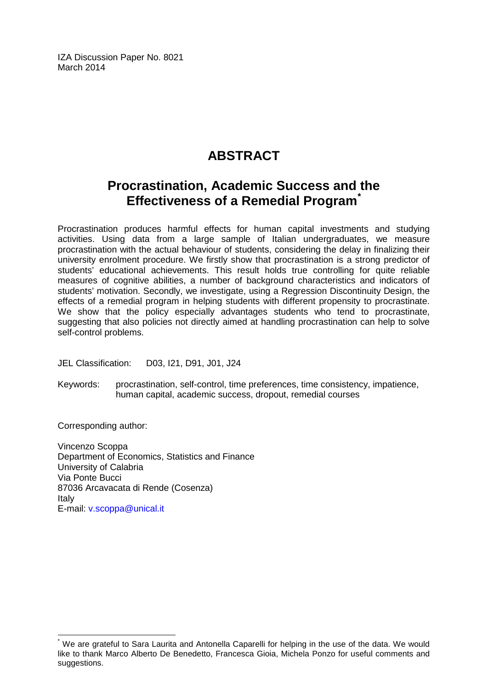IZA Discussion Paper No. 8021 March 2014

# **ABSTRACT**

## **Procrastination, Academic Success and the Effectiveness of a Remedial Program[\\*](#page-1-0)**

Procrastination produces harmful effects for human capital investments and studying activities. Using data from a large sample of Italian undergraduates, we measure procrastination with the actual behaviour of students, considering the delay in finalizing their university enrolment procedure. We firstly show that procrastination is a strong predictor of students' educational achievements. This result holds true controlling for quite reliable measures of cognitive abilities, a number of background characteristics and indicators of students' motivation. Secondly, we investigate, using a Regression Discontinuity Design, the effects of a remedial program in helping students with different propensity to procrastinate. We show that the policy especially advantages students who tend to procrastinate, suggesting that also policies not directly aimed at handling procrastination can help to solve self-control problems.

JEL Classification: D03, I21, D91, J01, J24

Keywords: procrastination, self-control, time preferences, time consistency, impatience, human capital, academic success, dropout, remedial courses

Corresponding author:

Vincenzo Scoppa Department of Economics, Statistics and Finance University of Calabria Via Ponte Bucci 87036 Arcavacata di Rende (Cosenza) Italy E-mail: [v.scoppa@unical.it](mailto:v.scoppa@unical.it)

We are grateful to Sara Laurita and Antonella Caparelli for helping in the use of the data. We would like to thank Marco Alberto De Benedetto, Francesca Gioia, Michela Ponzo for useful comments and suggestions.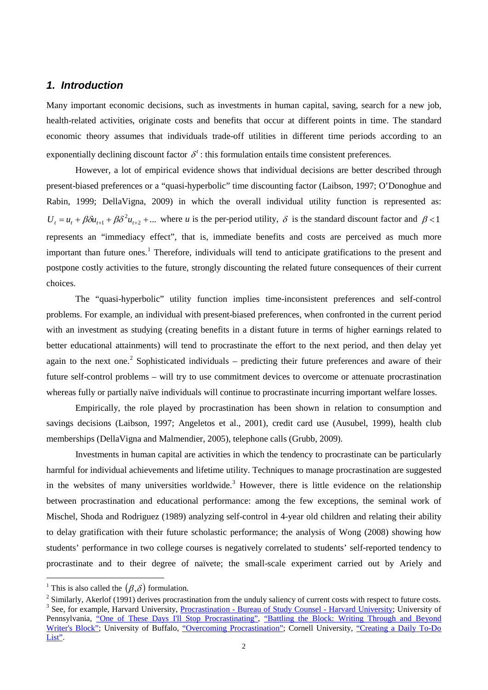#### *1. Introduction*

Many important economic decisions, such as investments in human capital, saving, search for a new job, health-related activities, originate costs and benefits that occur at different points in time. The standard economic theory assumes that individuals trade-off utilities in different time periods according to an exponentially declining discount factor  $\delta^t$ : this formulation entails time consistent preferences.

However, a lot of empirical evidence shows that individual decisions are better described through present-biased preferences or a "quasi-hyperbolic" time discounting factor (Laibson, 1997; O'Donoghue and Rabin, 1999; DellaVigna, 2009) in which the overall individual utility function is represented as:  $U_t = u_t + \beta \delta u_{t+1} + \beta \delta^2 u_{t+2} + ...$  where *u* is the per-period utility,  $\delta$  is the standard discount factor and  $\beta < 1$ represents an "immediacy effect", that is, immediate benefits and costs are perceived as much more important than future ones. <sup>1</sup> Therefore, individuals will tend to anticipate gratifications to the present and postpone costly activities to the future, strongly discounting the related future consequences of their current choices.

The "quasi-hyperbolic" utility function implies time-inconsistent preferences and self-control problems. For example, an individual with present-biased preferences, when confronted in the current period with an investment as studying (creating benefits in a distant future in terms of higher earnings related to better educational attainments) will tend to procrastinate the effort to the next period, and then delay yet again to the next one.<sup>[2](#page-3-0)</sup> Sophisticated individuals – predicting their future preferences and aware of their future self-control problems – will try to use commitment devices to overcome or attenuate procrastination whereas fully or partially naïve individuals will continue to procrastinate incurring important welfare losses.

Empirically, the role played by procrastination has been shown in relation to consumption and savings decisions (Laibson, 1997; Angeletos et al., 2001), credit card use (Ausubel, 1999), health club memberships (DellaVigna and Malmendier, 2005), telephone calls (Grubb, 2009).

Investments in human capital are activities in which the tendency to procrastinate can be particularly harmful for individual achievements and lifetime utility. Techniques to manage procrastination are suggested in the websites of many universities worldwide.<sup>[3](#page-3-1)</sup> However, there is little evidence on the relationship between procrastination and educational performance: among the few exceptions, the seminal work of Mischel, Shoda and Rodriguez (1989) analyzing self-control in 4-year old children and relating their ability to delay gratification with their future scholastic performance; the analysis of Wong (2008) showing how students' performance in two college courses is negatively correlated to students' self-reported tendency to procrastinate and to their degree of naïvete; the small-scale experiment carried out by Ariely and

<sup>&</sup>lt;sup>1</sup> This is also called the  $(\beta, \delta)$  formulation.

<span id="page-3-2"></span><span id="page-3-1"></span><span id="page-3-0"></span><sup>&</sup>lt;sup>2</sup> Similarly, Akerlof (1991) derives procrastination from the unduly saliency of current costs with respect to future costs.<br><sup>3</sup> See, for example, Harvard University, Procrastination - [Bureau of Study Counsel -](http://bsc.harvard.edu/icb/icb.do?keyword=k73301&pageid=icb.page416014&pageContentId=icb.pagecontent892873&view=view.do&viewParam_name=procrastination.html) Harvard U Pennsylvania, ["One of These Days I'll Stop Procrastinating",](http://www.vpul.upenn.edu/lrc/lr/PDF/procrastination%20(W).pdf) ["Battling the Block: Writing Through and Beyond](http://www.vpul.upenn.edu/lrc/lr/PDF/writer)  [Writer's Block";](http://www.vpul.upenn.edu/lrc/lr/PDF/writer) University of Buffalo, ["Overcoming Procrastination";](http://ub-counseling.buffalo.edu/stressprocrast.shtml) Cornell University, "Creating a Daily To-Do [List".](http://lsc.cornell.edu/Sidebars/Study_Skills_Resources/Study%20Skills%20PDFs%20for%20LSC%20Website/Creating%20a%20Daily%20To%20Do%20List.pdf)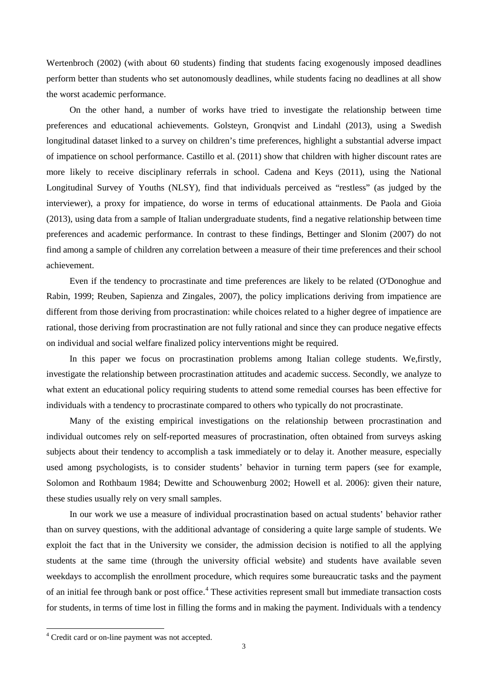Wertenbroch (2002) (with about 60 students) finding that students facing exogenously imposed deadlines perform better than students who set autonomously deadlines, while students facing no deadlines at all show the worst academic performance.

On the other hand, a number of works have tried to investigate the relationship between time preferences and educational achievements. Golsteyn, Gronqvist and Lindahl (2013), using a Swedish longitudinal dataset linked to a survey on children's time preferences, highlight a substantial adverse impact of impatience on school performance. Castillo et al. (2011) show that children with higher discount rates are more likely to receive disciplinary referrals in school. Cadena and Keys (2011), using the National Longitudinal Survey of Youths (NLSY), find that individuals perceived as "restless" (as judged by the interviewer), a proxy for impatience, do worse in terms of educational attainments. De Paola and Gioia (2013), using data from a sample of Italian undergraduate students, find a negative relationship between time preferences and academic performance. In contrast to these findings, Bettinger and Slonim (2007) do not find among a sample of children any correlation between a measure of their time preferences and their school achievement.

Even if the tendency to procrastinate and time preferences are likely to be related (O'Donoghue and Rabin, 1999; Reuben, Sapienza and Zingales, 2007), the policy implications deriving from impatience are different from those deriving from procrastination: while choices related to a higher degree of impatience are rational, those deriving from procrastination are not fully rational and since they can produce negative effects on individual and social welfare finalized policy interventions might be required.

In this paper we focus on procrastination problems among Italian college students. We,firstly, investigate the relationship between procrastination attitudes and academic success. Secondly, we analyze to what extent an educational policy requiring students to attend some remedial courses has been effective for individuals with a tendency to procrastinate compared to others who typically do not procrastinate.

Many of the existing empirical investigations on the relationship between procrastination and individual outcomes rely on self-reported measures of procrastination, often obtained from surveys asking subjects about their tendency to accomplish a task immediately or to delay it. Another measure, especially used among psychologists, is to consider students' behavior in turning term papers (see for example, Solomon and Rothbaum 1984; Dewitte and Schouwenburg 2002; Howell et al. 2006): given their nature, these studies usually rely on very small samples.

In our work we use a measure of individual procrastination based on actual students' behavior rather than on survey questions, with the additional advantage of considering a quite large sample of students. We exploit the fact that in the University we consider, the admission decision is notified to all the applying students at the same time (through the university official website) and students have available seven weekdays to accomplish the enrollment procedure, which requires some bureaucratic tasks and the payment of an initial fee through bank or post office.<sup>[4](#page-3-2)</sup> These activities represent small but immediate transaction costs for students, in terms of time lost in filling the forms and in making the payment. Individuals with a tendency

<span id="page-4-0"></span> <sup>4</sup> Credit card or on-line payment was not accepted.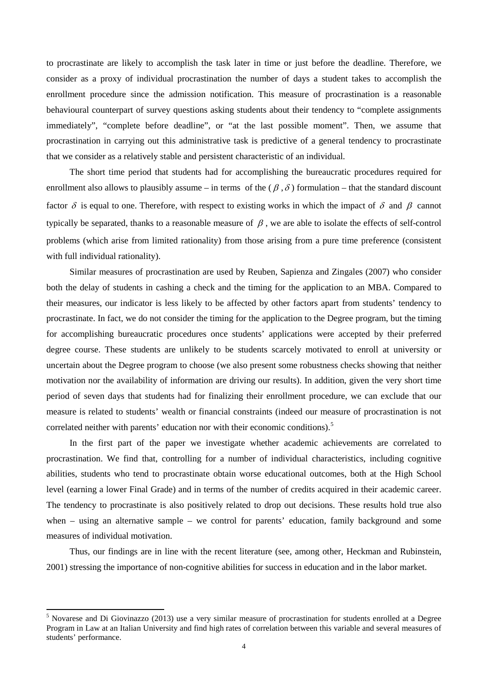to procrastinate are likely to accomplish the task later in time or just before the deadline. Therefore, we consider as a proxy of individual procrastination the number of days a student takes to accomplish the enrollment procedure since the admission notification. This measure of procrastination is a reasonable behavioural counterpart of survey questions asking students about their tendency to "complete assignments immediately", "complete before deadline", or "at the last possible moment". Then, we assume that procrastination in carrying out this administrative task is predictive of a general tendency to procrastinate that we consider as a relatively stable and persistent characteristic of an individual.

The short time period that students had for accomplishing the bureaucratic procedures required for enrollment also allows to plausibly assume – in terms of the  $(\beta, \delta)$  formulation – that the standard discount factor  $\delta$  is equal to one. Therefore, with respect to existing works in which the impact of  $\delta$  and  $\beta$  cannot typically be separated, thanks to a reasonable measure of  $\beta$ , we are able to isolate the effects of self-control problems (which arise from limited rationality) from those arising from a pure time preference (consistent with full individual rationality).

Similar measures of procrastination are used by Reuben, Sapienza and Zingales (2007) who consider both the delay of students in cashing a check and the timing for the application to an MBA. Compared to their measures, our indicator is less likely to be affected by other factors apart from students' tendency to procrastinate. In fact, we do not consider the timing for the application to the Degree program, but the timing for accomplishing bureaucratic procedures once students' applications were accepted by their preferred degree course. These students are unlikely to be students scarcely motivated to enroll at university or uncertain about the Degree program to choose (we also present some robustness checks showing that neither motivation nor the availability of information are driving our results). In addition, given the very short time period of seven days that students had for finalizing their enrollment procedure, we can exclude that our measure is related to students' wealth or financial constraints (indeed our measure of procrastination is not correlated neither with parents' education nor with their economic conditions).<sup>[5](#page-4-0)</sup>

In the first part of the paper we investigate whether academic achievements are correlated to procrastination. We find that, controlling for a number of individual characteristics, including cognitive abilities, students who tend to procrastinate obtain worse educational outcomes, both at the High School level (earning a lower Final Grade) and in terms of the number of credits acquired in their academic career. The tendency to procrastinate is also positively related to drop out decisions. These results hold true also when – using an alternative sample – we control for parents' education, family background and some measures of individual motivation.

<span id="page-5-0"></span>Thus, our findings are in line with the recent literature (see, among other, Heckman and Rubinstein, 2001) stressing the importance of non-cognitive abilities for success in education and in the labor market.

<sup>&</sup>lt;sup>5</sup> Novarese and Di Giovinazzo (2013) use a very similar measure of procrastination for students enrolled at a Degree Program in Law at an Italian University and find high rates of correlation between this variable and several measures of students' performance.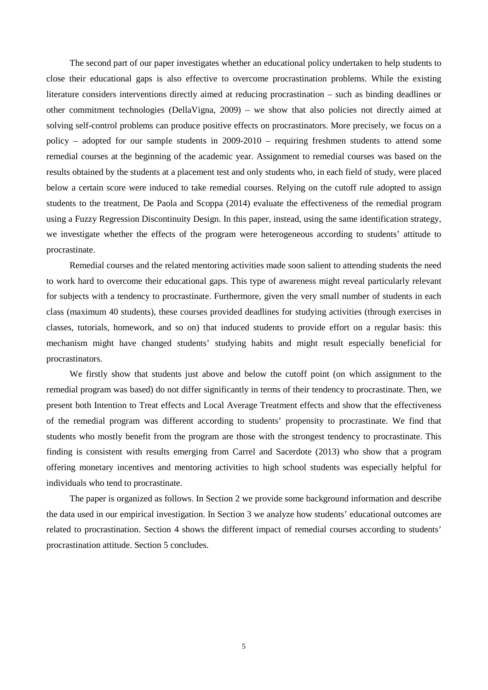The second part of our paper investigates whether an educational policy undertaken to help students to close their educational gaps is also effective to overcome procrastination problems. While the existing literature considers interventions directly aimed at reducing procrastination – such as binding deadlines or other commitment technologies (DellaVigna, 2009) – we show that also policies not directly aimed at solving self-control problems can produce positive effects on procrastinators. More precisely, we focus on a policy – adopted for our sample students in 2009-2010 – requiring freshmen students to attend some remedial courses at the beginning of the academic year. Assignment to remedial courses was based on the results obtained by the students at a placement test and only students who, in each field of study, were placed below a certain score were induced to take remedial courses. Relying on the cutoff rule adopted to assign students to the treatment, De Paola and Scoppa (2014) evaluate the effectiveness of the remedial program using a Fuzzy Regression Discontinuity Design. In this paper, instead, using the same identification strategy, we investigate whether the effects of the program were heterogeneous according to students' attitude to procrastinate.

Remedial courses and the related mentoring activities made soon salient to attending students the need to work hard to overcome their educational gaps. This type of awareness might reveal particularly relevant for subjects with a tendency to procrastinate. Furthermore, given the very small number of students in each class (maximum 40 students), these courses provided deadlines for studying activities (through exercises in classes, tutorials, homework, and so on) that induced students to provide effort on a regular basis: this mechanism might have changed students' studying habits and might result especially beneficial for procrastinators.

We firstly show that students just above and below the cutoff point (on which assignment to the remedial program was based) do not differ significantly in terms of their tendency to procrastinate. Then, we present both Intention to Treat effects and Local Average Treatment effects and show that the effectiveness of the remedial program was different according to students' propensity to procrastinate. We find that students who mostly benefit from the program are those with the strongest tendency to procrastinate. This finding is consistent with results emerging from Carrel and Sacerdote (2013) who show that a program offering monetary incentives and mentoring activities to high school students was especially helpful for individuals who tend to procrastinate.

The paper is organized as follows. In Section 2 we provide some background information and describe the data used in our empirical investigation. In Section 3 we analyze how students' educational outcomes are related to procrastination. Section 4 shows the different impact of remedial courses according to students' procrastination attitude. Section 5 concludes.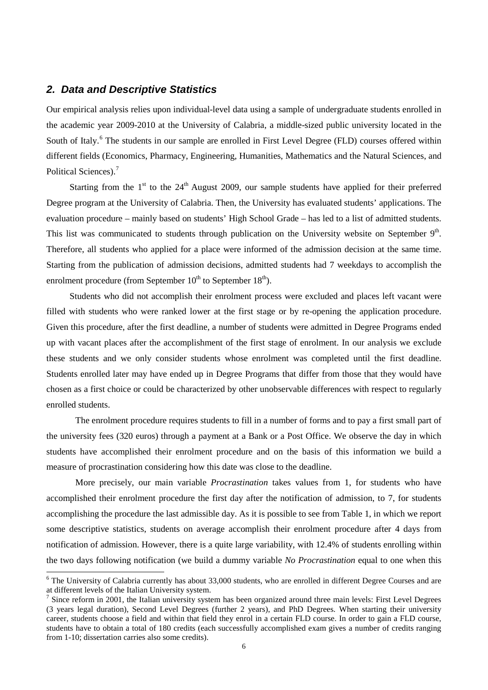#### *2. Data and Descriptive Statistics*

Our empirical analysis relies upon individual-level data using a sample of undergraduate students enrolled in the academic year 2009-2010 at the University of Calabria, a middle-sized public university located in the South of Italy.<sup>[6](#page-5-0)</sup> The students in our sample are enrolled in First Level Degree (FLD) courses offered within different fields (Economics, Pharmacy, Engineering, Humanities, Mathematics and the Natural Sciences, and Political Sciences).<sup>[7](#page-7-0)</sup>

Starting from the  $1<sup>st</sup>$  to the  $24<sup>th</sup>$  August 2009, our sample students have applied for their preferred Degree program at the University of Calabria. Then, the University has evaluated students' applications. The evaluation procedure – mainly based on students' High School Grade – has led to a list of admitted students. This list was communicated to students through publication on the University website on September  $9<sup>th</sup>$ . Therefore, all students who applied for a place were informed of the admission decision at the same time. Starting from the publication of admission decisions, admitted students had 7 weekdays to accomplish the enrolment procedure (from September  $10^{th}$  to September  $18^{th}$ ).

Students who did not accomplish their enrolment process were excluded and places left vacant were filled with students who were ranked lower at the first stage or by re-opening the application procedure. Given this procedure, after the first deadline, a number of students were admitted in Degree Programs ended up with vacant places after the accomplishment of the first stage of enrolment. In our analysis we exclude these students and we only consider students whose enrolment was completed until the first deadline. Students enrolled later may have ended up in Degree Programs that differ from those that they would have chosen as a first choice or could be characterized by other unobservable differences with respect to regularly enrolled students.

The enrolment procedure requires students to fill in a number of forms and to pay a first small part of the university fees (320 euros) through a payment at a Bank or a Post Office. We observe the day in which students have accomplished their enrolment procedure and on the basis of this information we build a measure of procrastination considering how this date was close to the deadline.

More precisely, our main variable *Procrastination* takes values from 1, for students who have accomplished their enrolment procedure the first day after the notification of admission, to 7, for students accomplishing the procedure the last admissible day. As it is possible to see from Table 1, in which we report some descriptive statistics, students on average accomplish their enrolment procedure after 4 days from notification of admission. However, there is a quite large variability, with 12.4% of students enrolling within the two days following notification (we build a dummy variable *No Procrastination* equal to one when this

 $6$  The University of Calabria currently has about 33,000 students, who are enrolled in different Degree Courses and are at different levels of the Italian University system.

<span id="page-7-1"></span><span id="page-7-0"></span> $<sup>7</sup>$  Since reform in 2001, the Italian university system has been organized around three main levels: First Level Degrees</sup> (3 years legal duration), Second Level Degrees (further 2 years), and PhD Degrees. When starting their university career, students choose a field and within that field they enrol in a certain FLD course. In order to gain a FLD course, students have to obtain a total of 180 credits (each successfully accomplished exam gives a number of credits ranging from 1-10; dissertation carries also some credits).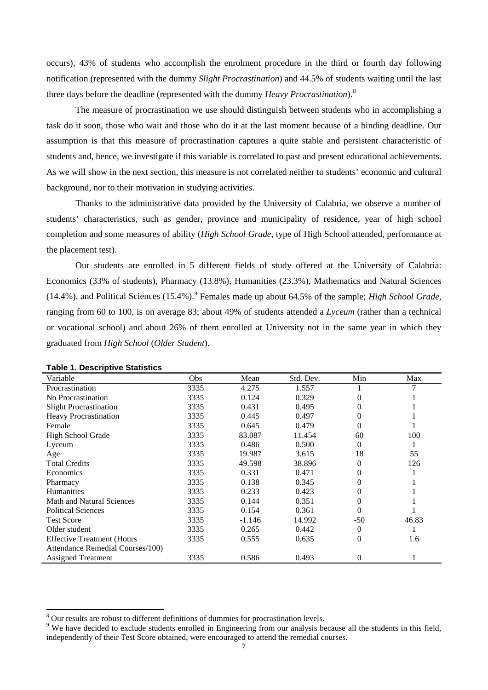occurs), 43% of students who accomplish the enrolment procedure in the third or fourth day following notification (represented with the dummy *Slight Procrastination*) and 44.5% of students waiting until the last three days before the deadline (represented with the dummy *Heavy Procrastination*). [8](#page-7-1)

The measure of procrastination we use should distinguish between students who in accomplishing a task do it soon, those who wait and those who do it at the last moment because of a binding deadline. Our assumption is that this measure of procrastination captures a quite stable and persistent characteristic of students and, hence, we investigate if this variable is correlated to past and present educational achievements. As we will show in the next section, this measure is not correlated neither to students' economic and cultural background, nor to their motivation in studying activities.

Thanks to the administrative data provided by the University of Calabria, we observe a number of students' characteristics, such as gender, province and municipality of residence, year of high school completion and some measures of ability (*High School Grade*, type of High School attended, performance at the placement test).

Our students are enrolled in 5 different fields of study offered at the University of Calabria: Economics (33% of students), Pharmacy (13.8%), Humanities (23.3%), Mathematics and Natural Sciences (14.4%), and Political Sciences (15.4%).[9](#page-8-0) Females made up about 64.5% of the sample; *High School Grade*, ranging from 60 to 100, is on average 83; about 49% of students attended a *Lyceum* (rather than a technical or vocational school) and about 26% of them enrolled at University not in the same year in which they graduated from *High School* (*Older Student*).

| rapic 1. Descriptive Otatistics   |            |          |           |                  |       |
|-----------------------------------|------------|----------|-----------|------------------|-------|
| Variable                          | <b>Obs</b> | Mean     | Std. Dev. | Min              | Max   |
| Procrastination                   | 3335       | 4.275    | 1.557     |                  | 7     |
| No Procrastination                | 3335       | 0.124    | 0.329     | $\left( \right)$ |       |
| <b>Slight Procrastination</b>     | 3335       | 0.431    | 0.495     | 0                |       |
| <b>Heavy Procrastination</b>      | 3335       | 0.445    | 0.497     | $\Omega$         |       |
| Female                            | 3335       | 0.645    | 0.479     | 0                |       |
| High School Grade                 | 3335       | 83.087   | 11.454    | 60               | 100   |
| Lyceum                            | 3335       | 0.486    | 0.500     | 0                |       |
| Age                               | 3335       | 19.987   | 3.615     | 18               | 55    |
| <b>Total Credits</b>              | 3335       | 49.598   | 38.896    | 0                | 126   |
| Economics                         | 3335       | 0.331    | 0.471     |                  |       |
| Pharmacy                          | 3335       | 0.138    | 0.345     | 0                |       |
| <b>Humanities</b>                 | 3335       | 0.233    | 0.423     | $\Omega$         |       |
| <b>Math and Natural Sciences</b>  | 3335       | 0.144    | 0.351     | $\left( \right)$ |       |
| <b>Political Sciences</b>         | 3335       | 0.154    | 0.361     | 0                |       |
| <b>Test Score</b>                 | 3335       | $-1.146$ | 14.992    | -50              | 46.83 |
| Older student                     | 3335       | 0.265    | 0.442     | 0                |       |
| <b>Effective Treatment (Hours</b> | 3335       | 0.555    | 0.635     | $\theta$         | 1.6   |
| Attendance Remedial Courses/100)  |            |          |           |                  |       |
| <b>Assigned Treatment</b>         | 3335       | 0.586    | 0.493     | $\theta$         |       |

**Table 1. Descriptive Statistics**

<span id="page-8-1"></span><span id="page-8-0"></span><sup>&</sup>lt;sup>8</sup> Our results are robust to different definitions of dummies for procrastination levels.<br><sup>9</sup> We have decided to exclude students enrolled in Engineering from our analysis because all the students in this field, independently of their Test Score obtained, were encouraged to attend the remedial courses.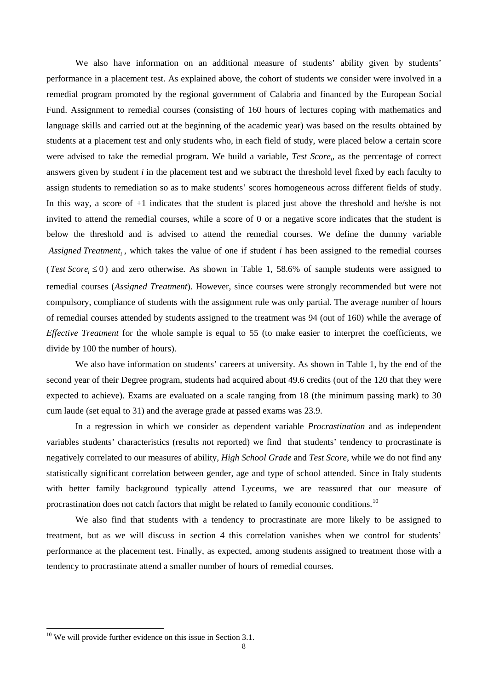We also have information on an additional measure of students' ability given by students' performance in a placement test. As explained above, the cohort of students we consider were involved in a remedial program promoted by the regional government of Calabria and financed by the European Social Fund. Assignment to remedial courses (consisting of 160 hours of lectures coping with mathematics and language skills and carried out at the beginning of the academic year) was based on the results obtained by students at a placement test and only students who, in each field of study, were placed below a certain score were advised to take the remedial program. We build a variable, *Test Scorei*, as the percentage of correct answers given by student *i* in the placement test and we subtract the threshold level fixed by each faculty to assign students to remediation so as to make students' scores homogeneous across different fields of study. In this way, a score of +1 indicates that the student is placed just above the threshold and he/she is not invited to attend the remedial courses, while a score of 0 or a negative score indicates that the student is below the threshold and is advised to attend the remedial courses. We define the dummy variable *Assigned Treatment<sub>i</sub>*, which takes the value of one if student *i* has been assigned to the remedial courses (*Test*  $Score_i \le 0$ ) and zero otherwise. As shown in Table 1, 58.6% of sample students were assigned to remedial courses (*Assigned Treatment*). However, since courses were strongly recommended but were not compulsory, compliance of students with the assignment rule was only partial. The average number of hours of remedial courses attended by students assigned to the treatment was 94 (out of 160) while the average of *Effective Treatment* for the whole sample is equal to 55 (to make easier to interpret the coefficients, we divide by 100 the number of hours).

We also have information on students' careers at university. As shown in Table 1, by the end of the second year of their Degree program, students had acquired about 49.6 credits (out of the 120 that they were expected to achieve). Exams are evaluated on a scale ranging from 18 (the minimum passing mark) to 30 cum laude (set equal to 31) and the average grade at passed exams was 23.9.

In a regression in which we consider as dependent variable *Procrastination* and as independent variables students' characteristics (results not reported) we find that students' tendency to procrastinate is negatively correlated to our measures of ability, *High School Grade* and *Test Score*, while we do not find any statistically significant correlation between gender, age and type of school attended. Since in Italy students with better family background typically attend Lyceums, we are reassured that our measure of procrastination does not catch factors that might be related to family economic conditions.<sup>[10](#page-8-1)</sup>

We also find that students with a tendency to procrastinate are more likely to be assigned to treatment, but as we will discuss in section 4 this correlation vanishes when we control for students' performance at the placement test. Finally, as expected, among students assigned to treatment those with a tendency to procrastinate attend a smaller number of hours of remedial courses.

<span id="page-9-0"></span> $10$  We will provide further evidence on this issue in Section 3.1.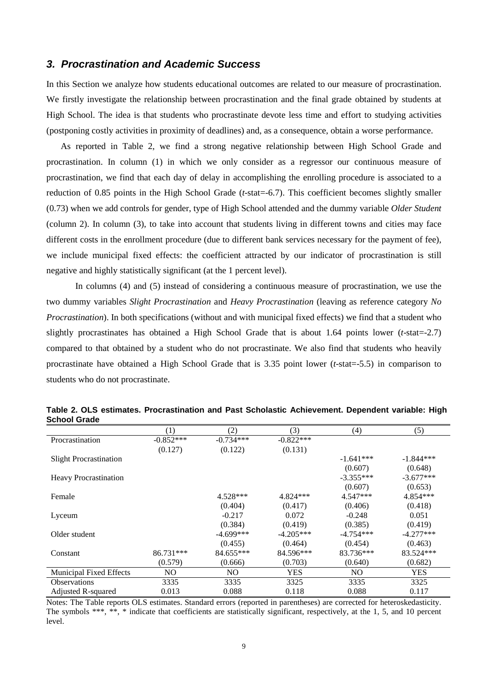#### *3. Procrastination and Academic Success*

In this Section we analyze how students educational outcomes are related to our measure of procrastination. We firstly investigate the relationship between procrastination and the final grade obtained by students at High School. The idea is that students who procrastinate devote less time and effort to studying activities (postponing costly activities in proximity of deadlines) and, as a consequence, obtain a worse performance.

As reported in Table 2, we find a strong negative relationship between High School Grade and procrastination. In column (1) in which we only consider as a regressor our continuous measure of procrastination, we find that each day of delay in accomplishing the enrolling procedure is associated to a reduction of 0.85 points in the High School Grade (*t*-stat=-6.7). This coefficient becomes slightly smaller (0.73) when we add controls for gender, type of High School attended and the dummy variable *Older Student*  (column 2). In column (3), to take into account that students living in different towns and cities may face different costs in the enrollment procedure (due to different bank services necessary for the payment of fee), we include municipal fixed effects: the coefficient attracted by our indicator of procrastination is still negative and highly statistically significant (at the 1 percent level).

In columns (4) and (5) instead of considering a continuous measure of procrastination, we use the two dummy variables *Slight Procrastination* and *Heavy Procrastination* (leaving as reference category *No Procrastination*). In both specifications (without and with municipal fixed effects) we find that a student who slightly procrastinates has obtained a High School Grade that is about 1.64 points lower (*t*-stat=-2.7) compared to that obtained by a student who do not procrastinate. We also find that students who heavily procrastinate have obtained a High School Grade that is 3.35 point lower (*t*-stat=-5.5) in comparison to students who do not procrastinate.

|                                | (1)         | (2)            | (3)         | (4)         | (5)         |
|--------------------------------|-------------|----------------|-------------|-------------|-------------|
| Procrastination                | $-0.852***$ | $-0.734***$    | $-0.822***$ |             |             |
|                                | (0.127)     | (0.122)        | (0.131)     |             |             |
| <b>Slight Procrastination</b>  |             |                |             | $-1.641***$ | $-1.844***$ |
|                                |             |                |             | (0.607)     | (0.648)     |
| <b>Heavy Procrastination</b>   |             |                |             | $-3.355***$ | $-3.677***$ |
|                                |             |                |             | (0.607)     | (0.653)     |
| Female                         |             | 4.528***       | 4.824 ***   | 4.547***    | 4.854***    |
|                                |             | (0.404)        | (0.417)     | (0.406)     | (0.418)     |
| Lyceum                         |             | $-0.217$       | 0.072       | $-0.248$    | 0.051       |
|                                |             | (0.384)        | (0.419)     | (0.385)     | (0.419)     |
| Older student                  |             | $-4.699***$    | $-4.205***$ | $-4.754***$ | $-4.277***$ |
|                                |             | (0.455)        | (0.464)     | (0.454)     | (0.463)     |
| Constant                       | 86.731***   | 84.655***      | 84.596***   | 83.736***   | 83.524***   |
|                                | (0.579)     | (0.666)        | (0.703)     | (0.640)     | (0.682)     |
| <b>Municipal Fixed Effects</b> | NO.         | N <sub>O</sub> | <b>YES</b>  | NO.         | <b>YES</b>  |
| <b>Observations</b>            | 3335        | 3335           | 3325        | 3335        | 3325        |
| <b>Adjusted R-squared</b>      | 0.013       | 0.088          | 0.118       | 0.088       | 0.117       |

**Table 2. OLS estimates. Procrastination and Past Scholastic Achievement. Dependent variable: High School Grade**

Notes: The Table reports OLS estimates. Standard errors (reported in parentheses) are corrected for heteroskedasticity. The symbols \*\*\*, \*\*, \* indicate that coefficients are statistically significant, respectively, at the 1, 5, and 10 percent level.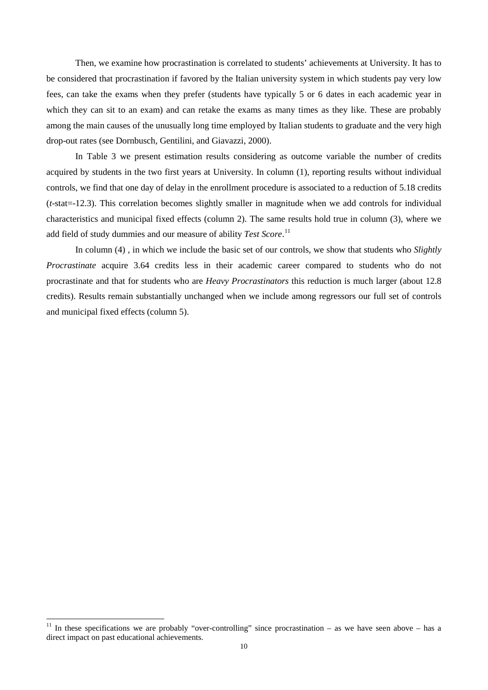Then, we examine how procrastination is correlated to students' achievements at University. It has to be considered that procrastination if favored by the Italian university system in which students pay very low fees, can take the exams when they prefer (students have typically 5 or 6 dates in each academic year in which they can sit to an exam) and can retake the exams as many times as they like. These are probably among the main causes of the unusually long time employed by Italian students to graduate and the very high drop-out rates (see Dornbusch, Gentilini, and Giavazzi, 2000).

In Table 3 we present estimation results considering as outcome variable the number of credits acquired by students in the two first years at University. In column (1), reporting results without individual controls, we find that one day of delay in the enrollment procedure is associated to a reduction of 5.18 credits (*t*-stat=-12.3). This correlation becomes slightly smaller in magnitude when we add controls for individual characteristics and municipal fixed effects (column 2). The same results hold true in column (3), where we add field of study dummies and our measure of ability *Test Score*. [11](#page-9-0)

In column (4) , in which we include the basic set of our controls, we show that students who *Slightly Procrastinate* acquire 3.64 credits less in their academic career compared to students who do not procrastinate and that for students who are *Heavy Procrastinators* this reduction is much larger (about 12.8 credits). Results remain substantially unchanged when we include among regressors our full set of controls and municipal fixed effects (column 5).

<span id="page-11-0"></span><sup>&</sup>lt;sup>11</sup> In these specifications we are probably "over-controlling" since procrastination – as we have seen above – has a direct impact on past educational achievements.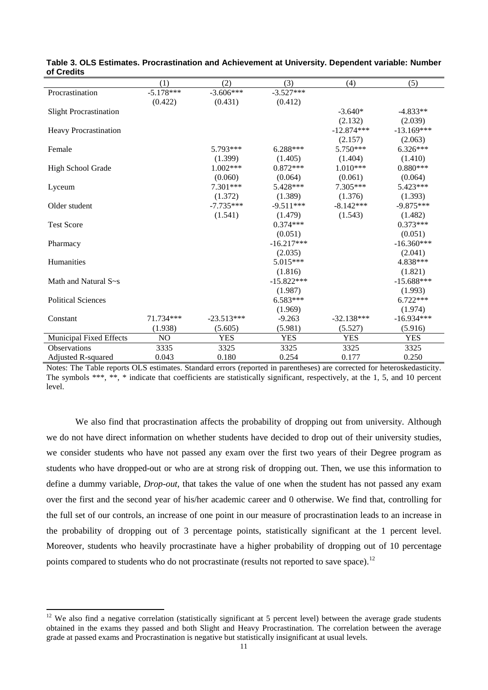|                               | (1)            | (2)          | (3)          | (4)          | (5)          |
|-------------------------------|----------------|--------------|--------------|--------------|--------------|
| Procrastination               | $-5.178***$    | $-3.606***$  | $-3.527***$  |              |              |
|                               | (0.422)        | (0.431)      | (0.412)      |              |              |
| <b>Slight Procrastination</b> |                |              |              | $-3.640*$    | $-4.833**$   |
|                               |                |              |              | (2.132)      | (2.039)      |
| <b>Heavy Procrastination</b>  |                |              |              | $-12.874***$ | $-13.169***$ |
|                               |                |              |              | (2.157)      | (2.063)      |
| Female                        |                | 5.793***     | $6.288***$   | $5.750***$   | $6.326***$   |
|                               |                | (1.399)      | (1.405)      | (1.404)      | (1.410)      |
| High School Grade             |                | $1.002***$   | $0.872***$   | $1.010***$   | $0.880***$   |
|                               |                | (0.060)      | (0.064)      | (0.061)      | (0.064)      |
| Lyceum                        |                | 7.301***     | 5.428***     | 7.305***     | 5.423***     |
|                               |                | (1.372)      | (1.389)      | (1.376)      | (1.393)      |
| Older student                 |                | $-7.735***$  | $-9.511***$  | $-8.142***$  | $-9.875***$  |
|                               |                | (1.541)      | (1.479)      | (1.543)      | (1.482)      |
| <b>Test Score</b>             |                |              | $0.374***$   |              | $0.373***$   |
|                               |                |              | (0.051)      |              | (0.051)      |
| Pharmacy                      |                |              | $-16.217***$ |              | $-16.360***$ |
|                               |                |              | (2.035)      |              | (2.041)      |
| Humanities                    |                |              | 5.015***     |              | 4.838***     |
|                               |                |              | (1.816)      |              | (1.821)      |
| Math and Natural S~s          |                |              | $-15.822***$ |              | $-15.688***$ |
|                               |                |              | (1.987)      |              | (1.993)      |
| <b>Political Sciences</b>     |                |              | $6.583***$   |              | $6.722***$   |
|                               |                |              | (1.969)      |              | (1.974)      |
| Constant                      | 71.734***      | $-23.513***$ | $-9.263$     | $-32.138***$ | $-16.934***$ |
|                               | (1.938)        | (5.605)      | (5.981)      |              | (5.916)      |
|                               |                |              |              | (5.527)      |              |
| Municipal Fixed Effects       | N <sub>O</sub> | <b>YES</b>   | <b>YES</b>   | <b>YES</b>   | <b>YES</b>   |
| <b>Observations</b>           | 3335           | 3325         | 3325         | 3325         | 3325         |
| Adjusted R-squared            | 0.043          | 0.180        | 0.254        | 0.177        | 0.250        |

**Table 3. OLS Estimates. Procrastination and Achievement at University. Dependent variable: Number of Credits**

Notes: The Table reports OLS estimates. Standard errors (reported in parentheses) are corrected for heteroskedasticity. The symbols \*\*\*, \*\*, \* indicate that coefficients are statistically significant, respectively, at the 1, 5, and 10 percent level.

We also find that procrastination affects the probability of dropping out from university. Although we do not have direct information on whether students have decided to drop out of their university studies, we consider students who have not passed any exam over the first two years of their Degree program as students who have dropped-out or who are at strong risk of dropping out. Then, we use this information to define a dummy variable, *Drop-out,* that takes the value of one when the student has not passed any exam over the first and the second year of his/her academic career and 0 otherwise. We find that, controlling for the full set of our controls, an increase of one point in our measure of procrastination leads to an increase in the probability of dropping out of 3 percentage points, statistically significant at the 1 percent level. Moreover, students who heavily procrastinate have a higher probability of dropping out of 10 percentage points compared to students who do not procrastinate (results not reported to save space).<sup>[12](#page-11-0)</sup>

<span id="page-12-0"></span> $12$  We also find a negative correlation (statistically significant at 5 percent level) between the average grade students obtained in the exams they passed and both Slight and Heavy Procrastination. The correlation between the average grade at passed exams and Procrastination is negative but statistically insignificant at usual levels.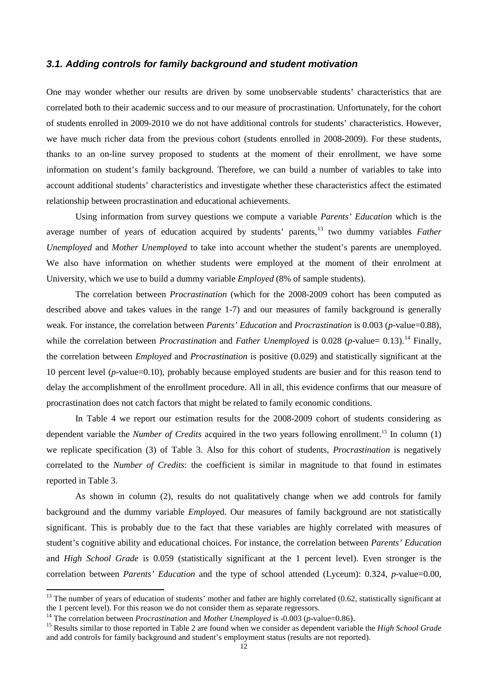#### *3.1. Adding controls for family background and student motivation*

One may wonder whether our results are driven by some unobservable students' characteristics that are correlated both to their academic success and to our measure of procrastination. Unfortunately, for the cohort of students enrolled in 2009-2010 we do not have additional controls for students' characteristics. However, we have much richer data from the previous cohort (students enrolled in 2008-2009). For these students, thanks to an on-line survey proposed to students at the moment of their enrollment, we have some information on student's family background. Therefore, we can build a number of variables to take into account additional students' characteristics and investigate whether these characteristics affect the estimated relationship between procrastination and educational achievements.

Using information from survey questions we compute a variable *Parents' Education* which is the average number of years of education acquired by students' parents, [13](#page-12-0) two dummy variables *Father Unemployed* and *Mother Unemployed* to take into account whether the student's parents are unemployed. We also have information on whether students were employed at the moment of their enrolment at University, which we use to build a dummy variable *Employed* (8% of sample students).

The correlation between *Procrastination* (which for the 2008-2009 cohort has been computed as described above and takes values in the range 1-7) and our measures of family background is generally weak. For instance, the correlation between *Parents' Education* and *Procrastination* is 0.003 (*p*-value=0.88), while the correlation between *Procrastination* and *Father Unemployed* is 0.028 (*p*-value= 0.13).<sup>[14](#page-13-0)</sup> Finally, the correlation between *Employed* and *Procrastination* is positive (0.029) and statistically significant at the 10 percent level (*p*-value=0.10), probably because employed students are busier and for this reason tend to delay the accomplishment of the enrollment procedure. All in all, this evidence confirms that our measure of procrastination does not catch factors that might be related to family economic conditions.

In Table 4 we report our estimation results for the 2008-2009 cohort of students considering as dependent variable the *Number of Credits* acquired in the two years following enrollment.<sup>[15](#page-13-1)</sup> In column (1) we replicate specification (3) of Table 3. Also for this cohort of students, *Procrastination* is negatively correlated to the *Number of Credits*: the coefficient is similar in magnitude to that found in estimates reported in Table 3.

As shown in column (2), results do not qualitatively change when we add controls for family background and the dummy variable *Employe*d. Our measures of family background are not statistically significant. This is probably due to the fact that these variables are highly correlated with measures of student's cognitive ability and educational choices. For instance, the correlation between *Parents' Education* and *High School Grade* is 0.059 (statistically significant at the 1 percent level). Even stronger is the correlation between *Parents' Education* and the type of school attended (Lyceum): 0.324, *p*-value=0.00,

<span id="page-13-2"></span> $13$  The number of years of education of students' mother and father are highly correlated (0.62, statistically significant at the 1 percent level). For this reason we do not consider them as separate regressors.

<span id="page-13-1"></span><span id="page-13-0"></span><sup>&</sup>lt;sup>14</sup> The correlation between *Procrastination* and *Mother Unemployed* is -0.003 (*p*-value=0.86).<br><sup>15</sup> Results similar to those reported in Table 2 are found when we consider as dependent variable the *High School Grade* and add controls for family background and student's employment status (results are not reported).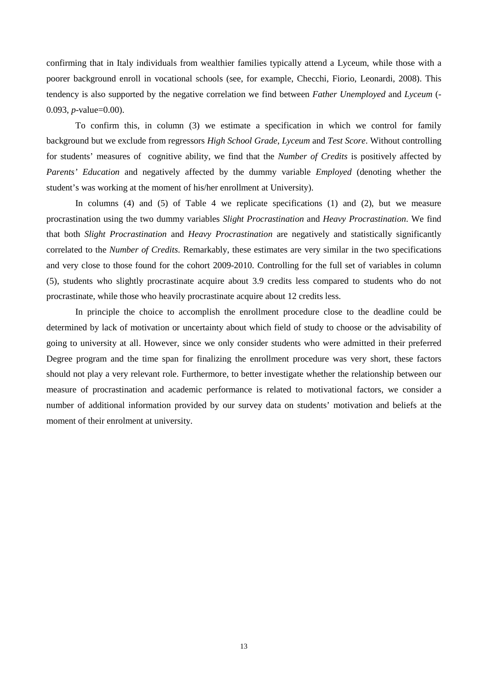confirming that in Italy individuals from wealthier families typically attend a Lyceum, while those with a poorer background enroll in vocational schools (see, for example, Checchi, Fiorio, Leonardi, 2008). This tendency is also supported by the negative correlation we find between *Father Unemployed* and *Lyceum* (- 0.093, *p*-value=0.00).

To confirm this, in column (3) we estimate a specification in which we control for family background but we exclude from regressors *High School Grade*, *Lyceum* and *Test Score*. Without controlling for students' measures of cognitive ability, we find that the *Number of Credits* is positively affected by *Parents' Education* and negatively affected by the dummy variable *Employed* (denoting whether the student's was working at the moment of his/her enrollment at University).

In columns (4) and (5) of Table 4 we replicate specifications (1) and (2), but we measure procrastination using the two dummy variables *Slight Procrastination* and *Heavy Procrastination*. We find that both *Slight Procrastination* and *Heavy Procrastination* are negatively and statistically significantly correlated to the *Number of Credits*. Remarkably, these estimates are very similar in the two specifications and very close to those found for the cohort 2009-2010. Controlling for the full set of variables in column (5), students who slightly procrastinate acquire about 3.9 credits less compared to students who do not procrastinate, while those who heavily procrastinate acquire about 12 credits less.

In principle the choice to accomplish the enrollment procedure close to the deadline could be determined by lack of motivation or uncertainty about which field of study to choose or the advisability of going to university at all. However, since we only consider students who were admitted in their preferred Degree program and the time span for finalizing the enrollment procedure was very short, these factors should not play a very relevant role. Furthermore, to better investigate whether the relationship between our measure of procrastination and academic performance is related to motivational factors, we consider a number of additional information provided by our survey data on students' motivation and beliefs at the moment of their enrolment at university.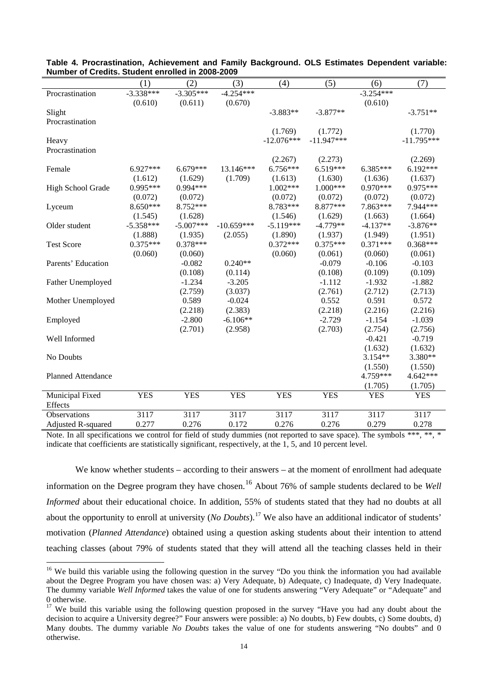| NUMBER OF CIEURS. SHUGHT CHIONEU IN ZUUO-ZUUJ |             |             |              |              |              |             |              |
|-----------------------------------------------|-------------|-------------|--------------|--------------|--------------|-------------|--------------|
|                                               | (1)         | (2)         | (3)          | (4)          | (5)          | (6)         | (7)          |
| Procrastination                               | $-3.338***$ | $-3.305***$ | $-4.254***$  |              |              | $-3.254***$ |              |
|                                               | (0.610)     | (0.611)     | (0.670)      |              |              | (0.610)     |              |
| Slight                                        |             |             |              | $-3.883**$   | $-3.877**$   |             | $-3.751**$   |
| Procrastination                               |             |             |              |              |              |             |              |
|                                               |             |             |              | (1.769)      | (1.772)      |             | (1.770)      |
| Heavy                                         |             |             |              | $-12.076***$ | $-11.947***$ |             | $-11.795***$ |
| Procrastination                               |             |             |              |              |              |             |              |
|                                               |             |             |              | (2.267)      | (2.273)      |             | (2.269)      |
| Female                                        | $6.927***$  | $6.679***$  | 13.146***    | $6.756***$   | $6.519***$   | $6.385***$  | $6.192***$   |
|                                               | (1.612)     | (1.629)     | (1.709)      | (1.613)      | (1.630)      | (1.636)     | (1.637)      |
| High School Grade                             | $0.995***$  | $0.994***$  |              | $1.002***$   | $1.000***$   | $0.970***$  | 0.975***     |
|                                               | (0.072)     | (0.072)     |              | (0.072)      | (0.072)      | (0.072)     | (0.072)      |
| Lyceum                                        | 8.650***    | 8.752***    |              | 8.783***     | 8.877***     | 7.863***    | 7.944***     |
|                                               | (1.545)     | (1.628)     |              | (1.546)      | (1.629)      | (1.663)     | (1.664)      |
| Older student                                 | $-5.358***$ | $-5.007***$ | $-10.659***$ | $-5.119***$  | $-4.779**$   | $-4.137**$  | $-3.876**$   |
|                                               | (1.888)     | (1.935)     | (2.055)      | (1.890)      | (1.937)      | (1.949)     | (1.951)      |
| <b>Test Score</b>                             | $0.375***$  | $0.378***$  |              | $0.372***$   | $0.375***$   | $0.371***$  | $0.368***$   |
|                                               | (0.060)     | (0.060)     |              | (0.060)      | (0.061)      | (0.060)     | (0.061)      |
| Parents' Education                            |             | $-0.082$    | $0.240**$    |              | $-0.079$     | $-0.106$    | $-0.103$     |
|                                               |             | (0.108)     | (0.114)      |              | (0.108)      | (0.109)     | (0.109)      |
| Father Unemployed                             |             | $-1.234$    | $-3.205$     |              | $-1.112$     | $-1.932$    | $-1.882$     |
|                                               |             | (2.759)     | (3.037)      |              | (2.761)      | (2.712)     | (2.713)      |
| Mother Unemployed                             |             | 0.589       | $-0.024$     |              | 0.552        | 0.591       | 0.572        |
|                                               |             | (2.218)     | (2.383)      |              | (2.218)      | (2.216)     | (2.216)      |
| Employed                                      |             | $-2.800$    | $-6.106**$   |              | $-2.729$     | $-1.154$    | $-1.039$     |
|                                               |             | (2.701)     | (2.958)      |              | (2.703)      | (2.754)     | (2.756)      |
| Well Informed                                 |             |             |              |              |              | $-0.421$    | $-0.719$     |
|                                               |             |             |              |              |              | (1.632)     | (1.632)      |
| No Doubts                                     |             |             |              |              |              | $3.154**$   | 3.380**      |
|                                               |             |             |              |              |              | (1.550)     | (1.550)      |
| <b>Planned Attendance</b>                     |             |             |              |              |              | 4.759***    | 4.642***     |
|                                               |             |             |              |              |              | (1.705)     | (1.705)      |
|                                               |             |             |              |              |              |             |              |
| Municipal Fixed<br>Effects                    | <b>YES</b>  | <b>YES</b>  | <b>YES</b>   | <b>YES</b>   | <b>YES</b>   | <b>YES</b>  | <b>YES</b>   |
|                                               |             |             |              |              |              |             |              |
| Observations                                  | 3117        | 3117        | 3117         | 3117         | 3117         | 3117        | 3117         |
| Adjusted R-squared                            | 0.277       | 0.276       | 0.172        | 0.276        | 0.276        | 0.279       | 0.278        |

**Table 4. Procrastination, Achievement and Family Background. OLS Estimates Dependent variable: Number of Credits. Student enrolled in 2008-2009**

Note. In all specifications we control for field of study dummies (not reported to save space). The symbols \*\*\*, \*\*, \* indicate that coefficients are statistically significant, respectively, at the 1, 5, and 10 percent level.

We know whether students – according to their answers – at the moment of enrollment had adequate information on the Degree program they have chosen.<sup>[16](#page-13-2)</sup> About 76% of sample students declared to be *Well Informed* about their educational choice. In addition, 55% of students stated that they had no doubts at all about the opportunity to enroll at university (*No Doubts*).<sup>[17](#page-15-0)</sup> We also have an additional indicator of students' motivation (*Planned Attendance*) obtained using a question asking students about their intention to attend teaching classes (about 79% of students stated that they will attend all the teaching classes held in their

<sup>&</sup>lt;sup>16</sup> We build this variable using the following question in the survey "Do you think the information you had available about the Degree Program you have chosen was: a) Very Adequate, b) Adequate, c) Inadequate, d) Very Inadequate. The dummy variable *Well Informed* takes the value of one for students answering "Very Adequate" or "Adequate" and 0 otherwise.

<span id="page-15-1"></span><span id="page-15-0"></span> $17$  We build this variable using the following question proposed in the survey "Have you had any doubt about the decision to acquire a University degree?" Four answers were possible: a) No doubts, b) Few doubts, c) Some doubts, d) Many doubts. The dummy variable *No Doubts* takes the value of one for students answering "No doubts" and 0 otherwise.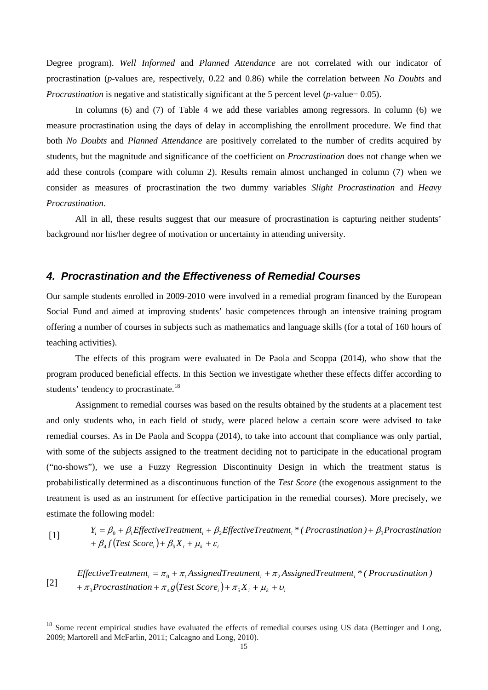Degree program). *Well Informed* and *Planned Attendance* are not correlated with our indicator of procrastination (*p*-values are, respectively, 0.22 and 0.86) while the correlation between *No Doubts* and *Procrastination* is negative and statistically significant at the 5 percent level (*p*-value= 0.05).

In columns (6) and (7) of Table 4 we add these variables among regressors. In column (6) we measure procrastination using the days of delay in accomplishing the enrollment procedure. We find that both *No Doubts* and *Planned Attendance* are positively correlated to the number of credits acquired by students, but the magnitude and significance of the coefficient on *Procrastination* does not change when we add these controls (compare with column 2). Results remain almost unchanged in column (7) when we consider as measures of procrastination the two dummy variables *Slight Procrastination* and *Heavy Procrastination*.

All in all, these results suggest that our measure of procrastination is capturing neither students' background nor his/her degree of motivation or uncertainty in attending university.

#### *4. Procrastination and the Effectiveness of Remedial Courses*

Our sample students enrolled in 2009-2010 were involved in a remedial program financed by the European Social Fund and aimed at improving students' basic competences through an intensive training program offering a number of courses in subjects such as mathematics and language skills (for a total of 160 hours of teaching activities).

The effects of this program were evaluated in De Paola and Scoppa (2014), who show that the program produced beneficial effects. In this Section we investigate whether these effects differ according to students' tendency to procrastinate.<sup>[18](#page-15-1)</sup>

Assignment to remedial courses was based on the results obtained by the students at a placement test and only students who, in each field of study, were placed below a certain score were advised to take remedial courses. As in De Paola and Scoppa (2014), to take into account that compliance was only partial, with some of the subjects assigned to the treatment deciding not to participate in the educational program ("no-shows"), we use a Fuzzy Regression Discontinuity Design in which the treatment status is probabilistically determined as a discontinuous function of the *Test Score* (the exogenous assignment to the treatment is used as an instrument for effective participation in the remedial courses). More precisely, we estimate the following model:

[1] 
$$
Y_i = \beta_0 + \beta_1
$$
 Effective Treatment<sub>i</sub> +  $\beta_2$ Effective Treatment<sub>i</sub> \* (Procrastination) +  $\beta_3$ Procrastination  
+  $\beta_4 f$  (Test Score<sub>i</sub>) +  $\beta_5 X_i + \mu_k + \varepsilon_i$ 

[2]  $iota_{\pi_3}$ Procrastination +  $\pi_4 g$ (Test Score<sub>i</sub>) +  $\pi_5 X_i + \mu_k + \nu_k$ *EffectiveTreatment*<sub>*i*</sub> =  $\pi_0 + \pi_1 A$ ssignedTreatment<sub>*i*</sub> +  $\pi_2 A$ ssignedTreatment<sub>*i*</sub></sub> \* (Procrastination)

<span id="page-16-0"></span><sup>&</sup>lt;sup>18</sup> Some recent empirical studies have evaluated the effects of remedial courses using US data (Bettinger and Long, 2009; Martorell and McFarlin, 2011; Calcagno and Long, 2010).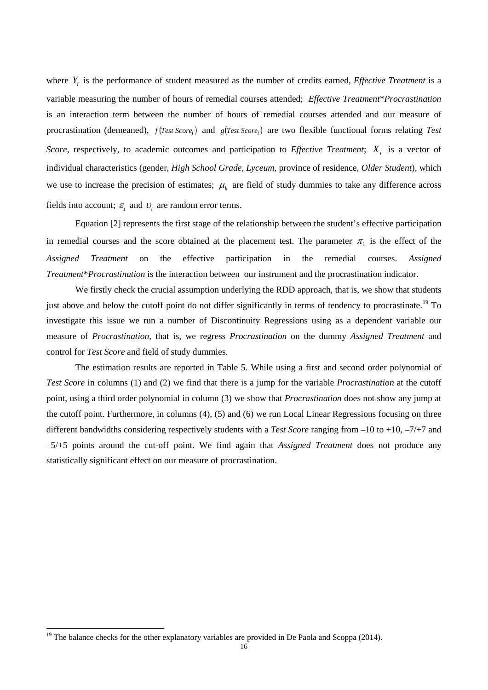where *Yi* is the performance of student measured as the number of credits earned, *Effective Treatment* is a variable measuring the number of hours of remedial courses attended; *Effective Treatment*\**Procrastination* is an interaction term between the number of hours of remedial courses attended and our measure of procrastination (demeaned),  $f$  (*Test Score*<sub>i</sub>) and  $g$  (*Test Score*<sub>i</sub>) are two flexible functional forms relating *Test Score*, respectively, to academic outcomes and participation to *Effective Treatment*;  $X_i$  is a vector of individual characteristics (gender, *High School Grade*, *Lyceum*, province of residence, *Older Student*), which we use to increase the precision of estimates;  $\mu_k$  are field of study dummies to take any difference across fields into account;  $\varepsilon_i$  and  $v_i$  are random error terms.

Equation [2] represents the first stage of the relationship between the student's effective participation in remedial courses and the score obtained at the placement test. The parameter  $\pi_1$  is the effect of the *Assigned Treatment* on the effective participation in the remedial courses. *Assigned Treatment*\**Procrastination* is the interaction between our instrument and the procrastination indicator.

We firstly check the crucial assumption underlying the RDD approach, that is, we show that students just above and below the cutoff point do not differ significantly in terms of tendency to procrastinate.<sup>[19](#page-16-0)</sup> To investigate this issue we run a number of Discontinuity Regressions using as a dependent variable our measure of *Procrastination*, that is, we regress *Procrastination* on the dummy *Assigned Treatment* and control for *Test Score* and field of study dummies.

The estimation results are reported in Table 5. While using a first and second order polynomial of *Test Score* in columns (1) and (2) we find that there is a jump for the variable *Procrastination* at the cutoff point, using a third order polynomial in column (3) we show that *Procrastination* does not show any jump at the cutoff point. Furthermore, in columns (4), (5) and (6) we run Local Linear Regressions focusing on three different bandwidths considering respectively students with a *Test Score* ranging from –10 to +10, –7/+7 and –5/+5 points around the cut-off point. We find again that *Assigned Treatment* does not produce any statistically significant effect on our measure of procrastination.

<span id="page-17-0"></span><sup>&</sup>lt;sup>19</sup> The balance checks for the other explanatory variables are provided in De Paola and Scoppa (2014).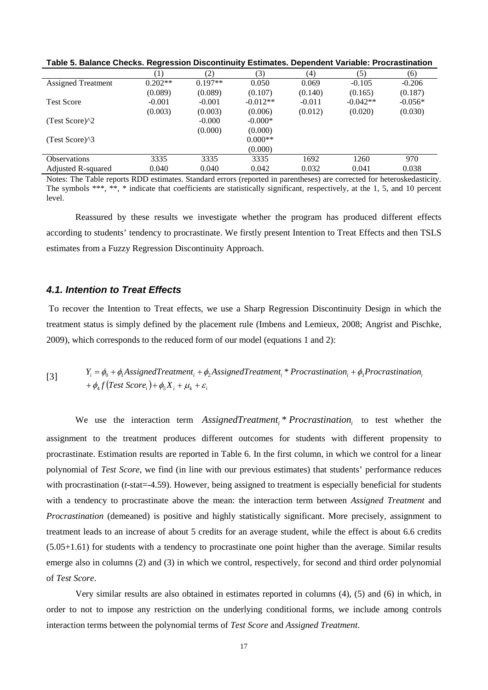| Table 5. Balance Checks. Regression Discontinuity Estimates. Dependent Variable: Procrastination |           |           |            |          |            |           |
|--------------------------------------------------------------------------------------------------|-----------|-----------|------------|----------|------------|-----------|
|                                                                                                  | (1)       | (2)       | (3)        | (4)      | (5)        | (6)       |
| <b>Assigned Treatment</b>                                                                        | $0.202**$ | $0.197**$ | 0.050      | 0.069    | $-0.105$   | $-0.206$  |
|                                                                                                  | (0.089)   | (0.089)   | (0.107)    | (0.140)  | (0.165)    | (0.187)   |
| <b>Test Score</b>                                                                                | $-0.001$  | $-0.001$  | $-0.012**$ | $-0.011$ | $-0.042**$ | $-0.056*$ |
|                                                                                                  | (0.003)   | (0.003)   | (0.006)    | (0.012)  | (0.020)    | (0.030)   |
| (Test Score) $^{\wedge}2$                                                                        |           | $-0.000$  | $-0.000*$  |          |            |           |
|                                                                                                  |           | (0.000)   | (0.000)    |          |            |           |
| (Test Score) $^{8}$ 3                                                                            |           |           | $0.000**$  |          |            |           |
|                                                                                                  |           |           | (0.000)    |          |            |           |
| <b>Observations</b>                                                                              | 3335      | 3335      | 3335       | 1692     | 1260       | 970       |
| Adjusted R-squared                                                                               | 0.040     | 0.040     | 0.042      | 0.032    | 0.041      | 0.038     |

Notes: The Table reports RDD estimates. Standard errors (reported in parentheses) are corrected for heteroskedasticity. The symbols \*\*\*, \*\*, \* indicate that coefficients are statistically significant, respectively, at the 1, 5, and 10 percent level.

Reassured by these results we investigate whether the program has produced different effects according to students' tendency to procrastinate. We firstly present Intention to Treat Effects and then TSLS estimates from a Fuzzy Regression Discontinuity Approach.

#### *4.1. Intention to Treat Effects*

To recover the Intention to Treat effects, we use a Sharp Regression Discontinuity Design in which the treatment status is simply defined by the placement rule (Imbens and Lemieux, 2008; Angrist and Pischke, 2009), which corresponds to the reduced form of our model (equations 1 and 2):

[3]  $i_i = \varphi_0 + \varphi_1$ *i ssigned rediment<sub>i</sub>* +  $\varphi$ <br>+  $\phi_4 f$  (Test *Score<sub>i</sub>*) +  $\phi_5 X_i + \mu_k + \varepsilon_i$  $Y_i = \phi_0 + \phi_1$  AssignedTreatment<sub>i</sub> +  $\phi_2$  AssignedTreatment<sub>i</sub> \* Procrastination<sub>i</sub> +  $\phi_3$  Procrastination<sub>i</sub>

We use the interaction term *AssignedTreatment*<sub>*i</sub> \* Procrastination*<sub>*i*</sub> to test whether the</sub> assignment to the treatment produces different outcomes for students with different propensity to procrastinate. Estimation results are reported in Table 6. In the first column, in which we control for a linear polynomial of *Test Score*, we find (in line with our previous estimates) that students' performance reduces with procrastination (*t*-stat = -4.59). However, being assigned to treatment is especially beneficial for students with a tendency to procrastinate above the mean: the interaction term between *Assigned Treatment* and *Procrastination* (demeaned) is positive and highly statistically significant. More precisely, assignment to treatment leads to an increase of about 5 credits for an average student, while the effect is about 6.6 credits (5.05+1.61) for students with a tendency to procrastinate one point higher than the average. Similar results emerge also in columns (2) and (3) in which we control, respectively, for second and third order polynomial of *Test Score*.

Very similar results are also obtained in estimates reported in columns (4), (5) and (6) in which, in order to not to impose any restriction on the underlying conditional forms, we include among controls interaction terms between the polynomial terms of *Test Score* and *Assigned Treatment*.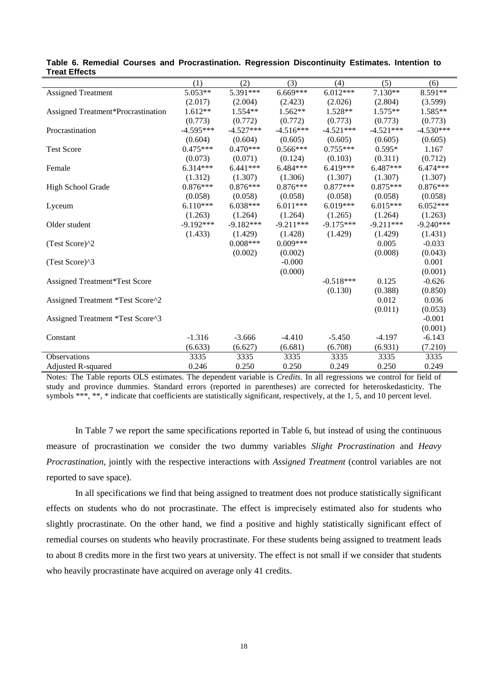|                                      | (1)         | (2)         | (3)         | (4)         | (5)         | (6)         |
|--------------------------------------|-------------|-------------|-------------|-------------|-------------|-------------|
| <b>Assigned Treatment</b>            | 5.053**     | 5.391***    | $6.669***$  | $6.012***$  | $7.130**$   | 8.591**     |
|                                      | (2.017)     | (2.004)     | (2.423)     | (2.026)     | (2.804)     | (3.599)     |
| Assigned Treatment*Procrastination   | $1.612**$   | $1.554**$   | $1.562**$   | $1.528**$   | $1.575**$   | 1.585**     |
|                                      | (0.773)     | (0.772)     | (0.772)     | (0.773)     | (0.773)     | (0.773)     |
| Procrastination                      | $-4.595***$ | $-4.527***$ | $-4.516***$ | $-4.521***$ | $-4.521***$ | $-4.530***$ |
|                                      | (0.604)     | (0.604)     | (0.605)     | (0.605)     | (0.605)     | (0.605)     |
| <b>Test Score</b>                    | $0.475***$  | $0.470***$  | $0.566***$  | $0.755***$  | $0.595*$    | 1.167       |
|                                      | (0.073)     | (0.071)     | (0.124)     | (0.103)     | (0.311)     | (0.712)     |
| Female                               | $6.314***$  | $6.441***$  | 6.484***    | 6.419***    | 6.487***    | 6.474***    |
|                                      | (1.312)     | (1.307)     | (1.306)     | (1.307)     | (1.307)     | (1.307)     |
| High School Grade                    | $0.876***$  | $0.876***$  | $0.876***$  | $0.877***$  | $0.875***$  | $0.876***$  |
|                                      | (0.058)     | (0.058)     | (0.058)     | (0.058)     | (0.058)     | (0.058)     |
| Lyceum                               | $6.110***$  | $6.038***$  | $6.011***$  | $6.019***$  | $6.015***$  | $6.052***$  |
|                                      | (1.263)     | (1.264)     | (1.264)     | (1.265)     | (1.264)     | (1.263)     |
| Older student                        | $-9.192***$ | $-9.182***$ | $-9.211***$ | $-9.175***$ | $-9.211***$ | $-9.240***$ |
|                                      | (1.433)     | (1.429)     | (1.428)     | (1.429)     | (1.429)     | (1.431)     |
| (Test Score)^2                       |             | $0.008***$  | $0.009***$  |             | 0.005       | $-0.033$    |
|                                      |             | (0.002)     | (0.002)     |             | (0.008)     | (0.043)     |
| $(Test Score)^3$                     |             |             | $-0.000$    |             |             | 0.001       |
|                                      |             |             | (0.000)     |             |             | (0.001)     |
| <b>Assigned Treatment*Test Score</b> |             |             |             | $-0.518***$ | 0.125       | $-0.626$    |
|                                      |             |             |             | (0.130)     | (0.388)     | (0.850)     |
| Assigned Treatment *Test Score^2     |             |             |             |             | 0.012       | 0.036       |
|                                      |             |             |             |             | (0.011)     | (0.053)     |
| Assigned Treatment *Test Score^3     |             |             |             |             |             | $-0.001$    |
|                                      |             |             |             |             |             | (0.001)     |
| Constant                             | $-1.316$    | $-3.666$    | $-4.410$    | $-5.450$    | $-4.197$    | $-6.143$    |
|                                      | (6.633)     | (6.627)     | (6.681)     | (6.708)     | (6.931)     | (7.210)     |
| Observations                         | 3335        | 3335        | 3335        | 3335        | 3335        | 3335        |
| Adjusted R-squared                   | 0.246       | 0.250       | 0.250       | 0.249       | 0.250       | 0.249       |

**Table 6. Remedial Courses and Procrastination. Regression Discontinuity Estimates. Intention to Treat Effects**

Notes: The Table reports OLS estimates. The dependent variable is *Credits*. In all regressions we control for field of study and province dummies. Standard errors (reported in parentheses) are corrected for heteroskedasticity. The symbols \*\*\*, \*\*, \* indicate that coefficients are statistically significant, respectively, at the 1, 5, and 10 percent level.

In Table 7 we report the same specifications reported in Table 6, but instead of using the continuous measure of procrastination we consider the two dummy variables *Slight Procrastination* and *Heavy Procrastination*, jointly with the respective interactions with *Assigned Treatment* (control variables are not reported to save space).

In all specifications we find that being assigned to treatment does not produce statistically significant effects on students who do not procrastinate. The effect is imprecisely estimated also for students who slightly procrastinate. On the other hand, we find a positive and highly statistically significant effect of remedial courses on students who heavily procrastinate. For these students being assigned to treatment leads to about 8 credits more in the first two years at university. The effect is not small if we consider that students who heavily procrastinate have acquired on average only 41 credits.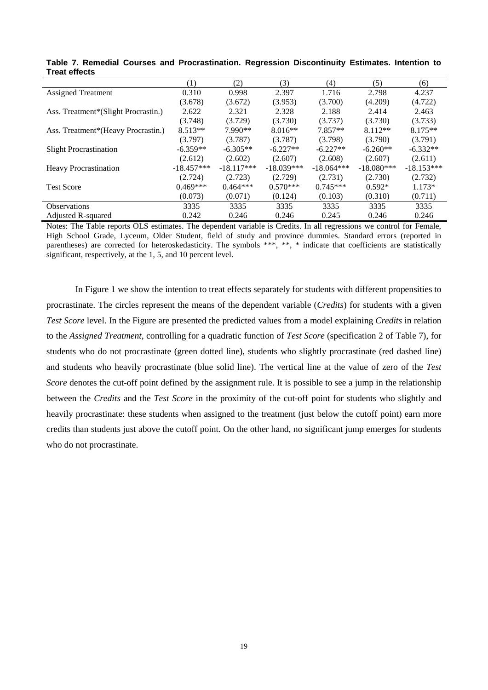| .                                   |                  |              |              |              |              |              |
|-------------------------------------|------------------|--------------|--------------|--------------|--------------|--------------|
|                                     | $\left(1\right)$ | (2)          | (3)          | (4)          | (5)          | (6)          |
| <b>Assigned Treatment</b>           | 0.310            | 0.998        | 2.397        | 1.716        | 2.798        | 4.237        |
|                                     | (3.678)          | (3.672)      | (3.953)      | (3.700)      | (4.209)      | (4.722)      |
| Ass. Treatment*(Slight Procrastin.) | 2.622            | 2.321        | 2.328        | 2.188        | 2.414        | 2.463        |
|                                     | (3.748)          | (3.729)      | (3.730)      | (3.737)      | (3.730)      | (3.733)      |
| Ass. Treatment*(Heavy Procrastin.)  | $8.513**$        | 7.990**      | $8.016**$    | $7.857**$    | $8.112**$    | $8.175**$    |
|                                     | (3.797)          | (3.787)      | (3.787)      | (3.798)      | (3.790)      | (3.791)      |
| <b>Slight Procrastination</b>       | $-6.359**$       | $-6.305**$   | $-6.227**$   | $-6.227**$   | $-6.260**$   | $-6.332**$   |
|                                     | (2.612)          | (2.602)      | (2.607)      | (2.608)      | (2.607)      | (2.611)      |
| <b>Heavy Procrastination</b>        | $-18.457***$     | $-18.117***$ | $-18.039***$ | $-18.064***$ | $-18.080***$ | $-18.153***$ |
|                                     | (2.724)          | (2.723)      | (2.729)      | (2.731)      | (2.730)      | (2.732)      |
| <b>Test Score</b>                   | $0.469***$       | $0.464***$   | $0.570***$   | $0.745***$   | $0.592*$     | $1.173*$     |
|                                     | (0.073)          | (0.071)      | (0.124)      | (0.103)      | (0.310)      | (0.711)      |
| <b>Observations</b>                 | 3335             | 3335         | 3335         | 3335         | 3335         | 3335         |
| Adjusted R-squared                  | 0.242            | 0.246        | 0.246        | 0.245        | 0.246        | 0.246        |

**Table 7. Remedial Courses and Procrastination. Regression Discontinuity Estimates. Intention to Treat effects**

Notes: The Table reports OLS estimates. The dependent variable is Credits. In all regressions we control for Female, High School Grade, Lyceum, Older Student, field of study and province dummies. Standard errors (reported in parentheses) are corrected for heteroskedasticity. The symbols \*\*\*, \*\*, \* indicate that coefficients are statistically significant, respectively, at the 1, 5, and 10 percent level.

In Figure 1 we show the intention to treat effects separately for students with different propensities to procrastinate. The circles represent the means of the dependent variable (*Credits*) for students with a given *Test Score* level. In the Figure are presented the predicted values from a model explaining *Credits* in relation to the *Assigned Treatment*, controlling for a quadratic function of *Test Score* (specification 2 of Table 7), for students who do not procrastinate (green dotted line), students who slightly procrastinate (red dashed line) and students who heavily procrastinate (blue solid line). The vertical line at the value of zero of the *Test Score* denotes the cut-off point defined by the assignment rule. It is possible to see a jump in the relationship between the *Credits* and the *Test Score* in the proximity of the cut-off point for students who slightly and heavily procrastinate: these students when assigned to the treatment (just below the cutoff point) earn more credits than students just above the cutoff point. On the other hand, no significant jump emerges for students who do not procrastinate.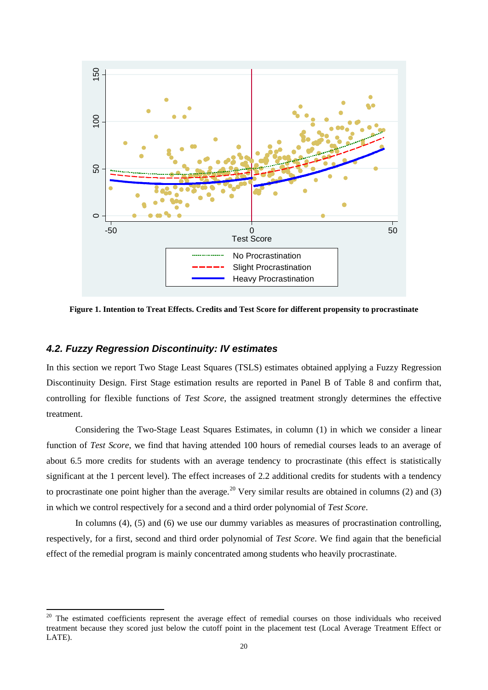

**Figure 1. Intention to Treat Effects. Credits and Test Score for different propensity to procrastinate**

#### *4.2. Fuzzy Regression Discontinuity: IV estimates*

In this section we report Two Stage Least Squares (TSLS) estimates obtained applying a Fuzzy Regression Discontinuity Design. First Stage estimation results are reported in Panel B of Table 8 and confirm that, controlling for flexible functions of *Test Score*, the assigned treatment strongly determines the effective treatment.

Considering the Two-Stage Least Squares Estimates, in column (1) in which we consider a linear function of *Test Score*, we find that having attended 100 hours of remedial courses leads to an average of about 6.5 more credits for students with an average tendency to procrastinate (this effect is statistically significant at the 1 percent level). The effect increases of 2.2 additional credits for students with a tendency to procrastinate one point higher than the average.<sup>[20](#page-17-0)</sup> Very similar results are obtained in columns (2) and (3) in which we control respectively for a second and a third order polynomial of *Test Score*.

In columns (4), (5) and (6) we use our dummy variables as measures of procrastination controlling, respectively, for a first, second and third order polynomial of *Test Score*. We find again that the beneficial effect of the remedial program is mainly concentrated among students who heavily procrastinate.

<sup>&</sup>lt;sup>20</sup> The estimated coefficients represent the average effect of remedial courses on those individuals who received treatment because they scored just below the cutoff point in the placement test (Local Average Treatment Effect or LATE).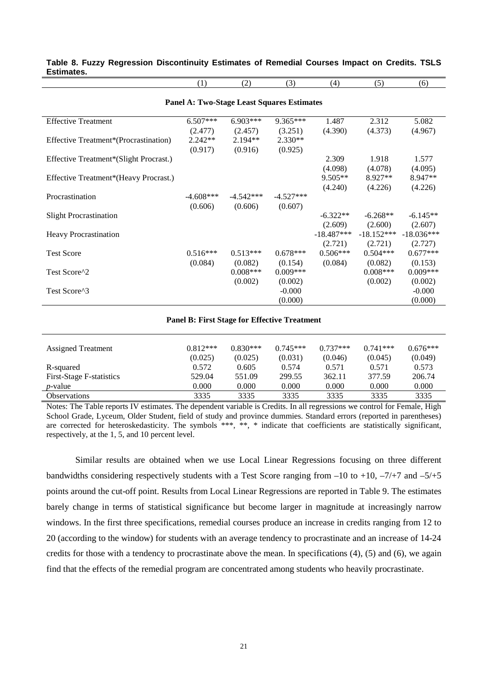|            |  | Table 8. Fuzzy Regression Discontinuity Estimates of Remedial Courses Impact on Credits. TSLS |  |  |  |  |
|------------|--|-----------------------------------------------------------------------------------------------|--|--|--|--|
| Estimates. |  |                                                                                               |  |  |  |  |

(1) (2) (3) (4) (5) (6)

| <b>Panel A: Two-Stage Least Squares Estimates</b> |             |             |             |              |              |              |  |  |  |
|---------------------------------------------------|-------------|-------------|-------------|--------------|--------------|--------------|--|--|--|
| <b>Effective Treatment</b>                        | $6.507***$  | $6.903***$  | $9.365***$  | 1.487        | 2.312        | 5.082        |  |  |  |
|                                                   | (2.477)     | (2.457)     | (3.251)     | (4.390)      | (4.373)      | (4.967)      |  |  |  |
| Effective Treatment*(Procrastination)             | $2.242**$   | $2.194**$   | $2.330**$   |              |              |              |  |  |  |
|                                                   | (0.917)     | (0.916)     | (0.925)     |              |              |              |  |  |  |
| Effective Treatment*(Slight Procrast.)            |             |             |             | 2.309        | 1.918        | 1.577        |  |  |  |
|                                                   |             |             |             | (4.098)      | (4.078)      | (4.095)      |  |  |  |
| Effective Treatment*(Heavy Procrast.)             |             |             |             | $9.505**$    | $8.927**$    | 8.947**      |  |  |  |
|                                                   |             |             |             | (4.240)      | (4.226)      | (4.226)      |  |  |  |
| Procrastination                                   | $-4.608***$ | $-4.542***$ | $-4.527***$ |              |              |              |  |  |  |
|                                                   | (0.606)     | (0.606)     | (0.607)     |              |              |              |  |  |  |
| <b>Slight Procrastination</b>                     |             |             |             | $-6.322**$   | $-6.268**$   | $-6.145**$   |  |  |  |
|                                                   |             |             |             | (2.609)      | (2.600)      | (2.607)      |  |  |  |
| <b>Heavy Procrastination</b>                      |             |             |             | $-18.487***$ | $-18.152***$ | $-18.036***$ |  |  |  |
|                                                   |             |             |             | (2.721)      | (2.721)      | (2.727)      |  |  |  |
| <b>Test Score</b>                                 | $0.516***$  | $0.513***$  | $0.678***$  | $0.506***$   | $0.504***$   | $0.677***$   |  |  |  |
|                                                   | (0.084)     | (0.082)     | (0.154)     | (0.084)      | (0.082)      | (0.153)      |  |  |  |
| Test Score <sup>1</sup> 2                         |             | $0.008***$  | $0.009***$  |              | $0.008***$   | $0.009***$   |  |  |  |
|                                                   |             | (0.002)     | (0.002)     |              | (0.002)      | (0.002)      |  |  |  |
| Test Score^3                                      |             |             | $-0.000$    |              |              | $-0.000$     |  |  |  |
|                                                   |             |             | (0.000)     |              |              | (0.000)      |  |  |  |

#### **Panel B: First Stage for Effective Treatment**

| <b>Assigned Treatment</b>       | $0.812***$<br>(0.025) | $0.830***$<br>(0.025) | $0.745***$<br>(0.031) | $0.737***$<br>(0.046) | $0.741***$<br>(0.045) | $0.676***$<br>(0.049) |
|---------------------------------|-----------------------|-----------------------|-----------------------|-----------------------|-----------------------|-----------------------|
| R-squared                       | 0.572                 | 0.605                 | 0.574                 | 0.571                 | 0.571                 | 0.573                 |
| <b>First-Stage F-statistics</b> | 529.04                | 551.09                | 299.55                | 362.11                | 377.59                | 206.74                |
| $p$ -value                      | 0.000                 | 0.000                 | 0.000                 | 0.000                 | 0.000                 | 0.000                 |
| <b>Observations</b>             | 3335                  | 3335                  | 3335                  | 3335                  | 3335                  | 3335                  |

Notes: The Table reports IV estimates. The dependent variable is Credits. In all regressions we control for Female, High School Grade, Lyceum, Older Student, field of study and province dummies. Standard errors (reported in parentheses) are corrected for heteroskedasticity. The symbols \*\*\*, \*\*, \* indicate that coefficients are statistically significant, respectively, at the 1, 5, and 10 percent level.

Similar results are obtained when we use Local Linear Regressions focusing on three different bandwidths considering respectively students with a Test Score ranging from  $-10$  to  $+10$ ,  $-7/+7$  and  $-5/+5$ points around the cut-off point. Results from Local Linear Regressions are reported in Table 9. The estimates barely change in terms of statistical significance but become larger in magnitude at increasingly narrow windows. In the first three specifications, remedial courses produce an increase in credits ranging from 12 to 20 (according to the window) for students with an average tendency to procrastinate and an increase of 14-24 credits for those with a tendency to procrastinate above the mean. In specifications (4), (5) and (6), we again find that the effects of the remedial program are concentrated among students who heavily procrastinate.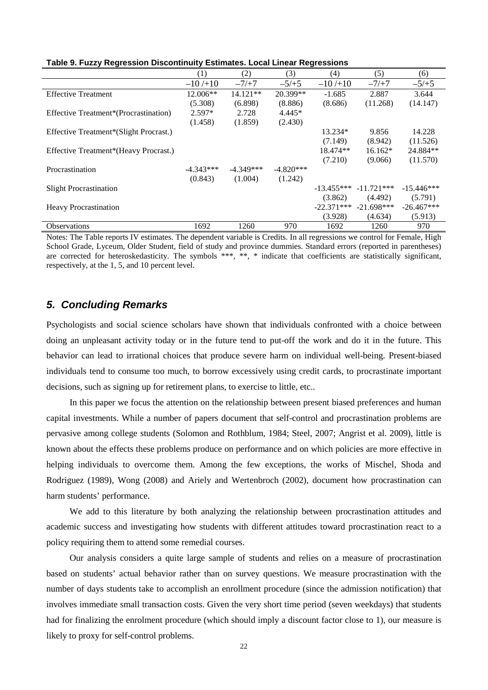| --,                                    |             |             |             |              |              |              |
|----------------------------------------|-------------|-------------|-------------|--------------|--------------|--------------|
|                                        | (1)         | (2)         | (3)         | (4)          | (5)          | (6)          |
|                                        | $-10/10$    | $-7/+7$     | $-5/+5$     | $-10/10$     | $-7/+7$      | $-5/+5$      |
| <b>Effective Treatment</b>             | 12.006**    | 14.121**    | 20.399**    | $-1.685$     | 2.887        | 3.644        |
|                                        | (5.308)     | (6.898)     | (8.886)     | (8.686)      | (11.268)     | (14.147)     |
| Effective Treatment*(Procrastination)  | $2.597*$    | 2.728       | $4.445*$    |              |              |              |
|                                        | (1.458)     | (1.859)     | (2.430)     |              |              |              |
| Effective Treatment*(Slight Procrast.) |             |             |             | 13.234*      | 9.856        | 14.228       |
|                                        |             |             |             | (7.149)      | (8.942)      | (11.526)     |
| Effective Treatment*(Heavy Procrast.)  |             |             |             | 18.474**     | $16.162*$    | 24.884**     |
|                                        |             |             |             | (7.210)      | (9.066)      | (11.570)     |
| Procrastination                        | $-4.343***$ | $-4.349***$ | $-4.820***$ |              |              |              |
|                                        | (0.843)     | (1.004)     | (1.242)     |              |              |              |
| <b>Slight Procrastination</b>          |             |             |             | $-13.455***$ | $-11.721***$ | $-15.446***$ |
|                                        |             |             |             | (3.862)      | (4.492)      | (5.791)      |
| <b>Heavy Procrastination</b>           |             |             |             | $-22.371***$ | $-21.698***$ | $-26.467***$ |
|                                        |             |             |             | (3.928)      | (4.634)      | (5.913)      |
| <b>Observations</b>                    | 1692        | 1260        | 970         | 1692         | 1260         | 970          |

**Table 9. Fuzzy Regression Discontinuity Estimates. Local Linear Regressions**

Notes: The Table reports IV estimates. The dependent variable is Credits. In all regressions we control for Female, High School Grade, Lyceum, Older Student, field of study and province dummies. Standard errors (reported in parentheses) are corrected for heteroskedasticity. The symbols \*\*\*, \*\*, \* indicate that coefficients are statistically significant, respectively, at the 1, 5, and 10 percent level.

#### *5. Concluding Remarks*

Psychologists and social science scholars have shown that individuals confronted with a choice between doing an unpleasant activity today or in the future tend to put-off the work and do it in the future. This behavior can lead to irrational choices that produce severe harm on individual well-being. Present-biased individuals tend to consume too much, to borrow excessively using credit cards, to procrastinate important decisions, such as signing up for retirement plans, to exercise to little, etc..

In this paper we focus the attention on the relationship between present biased preferences and human capital investments. While a number of papers document that self-control and procrastination problems are pervasive among college students (Solomon and Rothblum, 1984; Steel, 2007; Angrist et al. 2009), little is known about the effects these problems produce on performance and on which policies are more effective in helping individuals to overcome them. Among the few exceptions, the works of Mischel, Shoda and Rodriguez (1989), Wong (2008) and Ariely and Wertenbroch (2002), document how procrastination can harm students' performance.

We add to this literature by both analyzing the relationship between procrastination attitudes and academic success and investigating how students with different attitudes toward procrastination react to a policy requiring them to attend some remedial courses.

Our analysis considers a quite large sample of students and relies on a measure of procrastination based on students' actual behavior rather than on survey questions. We measure procrastination with the number of days students take to accomplish an enrollment procedure (since the admission notification) that involves immediate small transaction costs. Given the very short time period (seven weekdays) that students had for finalizing the enrolment procedure (which should imply a discount factor close to 1), our measure is likely to proxy for self-control problems.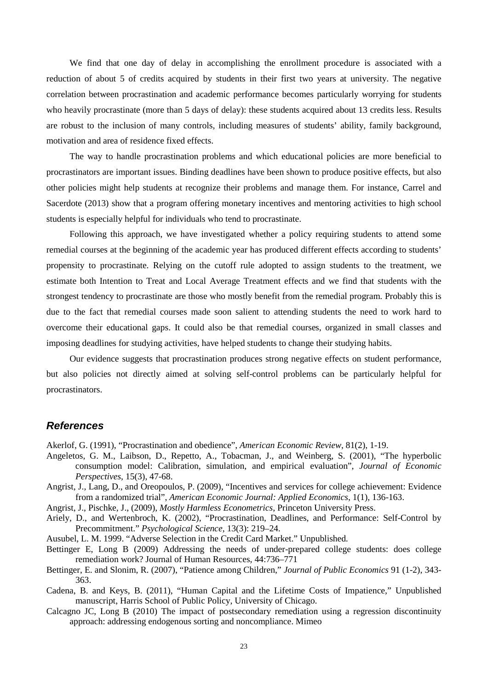We find that one day of delay in accomplishing the enrollment procedure is associated with a reduction of about 5 of credits acquired by students in their first two years at university. The negative correlation between procrastination and academic performance becomes particularly worrying for students who heavily procrastinate (more than 5 days of delay): these students acquired about 13 credits less. Results are robust to the inclusion of many controls, including measures of students' ability, family background, motivation and area of residence fixed effects.

The way to handle procrastination problems and which educational policies are more beneficial to procrastinators are important issues. Binding deadlines have been shown to produce positive effects, but also other policies might help students at recognize their problems and manage them. For instance, Carrel and Sacerdote (2013) show that a program offering monetary incentives and mentoring activities to high school students is especially helpful for individuals who tend to procrastinate.

Following this approach, we have investigated whether a policy requiring students to attend some remedial courses at the beginning of the academic year has produced different effects according to students' propensity to procrastinate. Relying on the cutoff rule adopted to assign students to the treatment, we estimate both Intention to Treat and Local Average Treatment effects and we find that students with the strongest tendency to procrastinate are those who mostly benefit from the remedial program. Probably this is due to the fact that remedial courses made soon salient to attending students the need to work hard to overcome their educational gaps. It could also be that remedial courses, organized in small classes and imposing deadlines for studying activities, have helped students to change their studying habits.

Our evidence suggests that procrastination produces strong negative effects on student performance, but also policies not directly aimed at solving self-control problems can be particularly helpful for procrastinators.

#### *References*

Akerlof, G. (1991), "Procrastination and obedience", *American Economic Review*, 81(2), 1-19.

- Angeletos, G. M., Laibson, D., Repetto, A., Tobacman, J., and Weinberg, S. (2001), "The hyperbolic consumption model: Calibration, simulation, and empirical evaluation", *Journal of Economic Perspectives*, 15(3), 47-68.
- Angrist, J., Lang, D., and Oreopoulos, P. (2009), "Incentives and services for college achievement: Evidence from a randomized trial", *American Economic Journal: Applied Economics*, 1(1), 136-163.
- Angrist, J., Pischke, J., (2009), *Mostly Harmless Econometrics*, Princeton University Press.
- Ariely, D., and Wertenbroch, K. (2002), "Procrastination, Deadlines, and Performance: Self-Control by Precommitment." *Psychological Science*, 13(3): 219–24.
- Ausubel, L. M. 1999. "Adverse Selection in the Credit Card Market." Unpublished.
- Bettinger E, Long B (2009) Addressing the needs of under-prepared college students: does college remediation work? Journal of Human Resources, 44:736–771
- Bettinger, E. and Slonim, R. (2007), "Patience among Children," *Journal of Public Economics* 91 (1-2), 343- 363.
- Cadena, B. and Keys, B. (2011), "Human Capital and the Lifetime Costs of Impatience," Unpublished manuscript, Harris School of Public Policy, University of Chicago.
- Calcagno JC, Long B (2010) The impact of postsecondary remediation using a regression discontinuity approach: addressing endogenous sorting and noncompliance. Mimeo